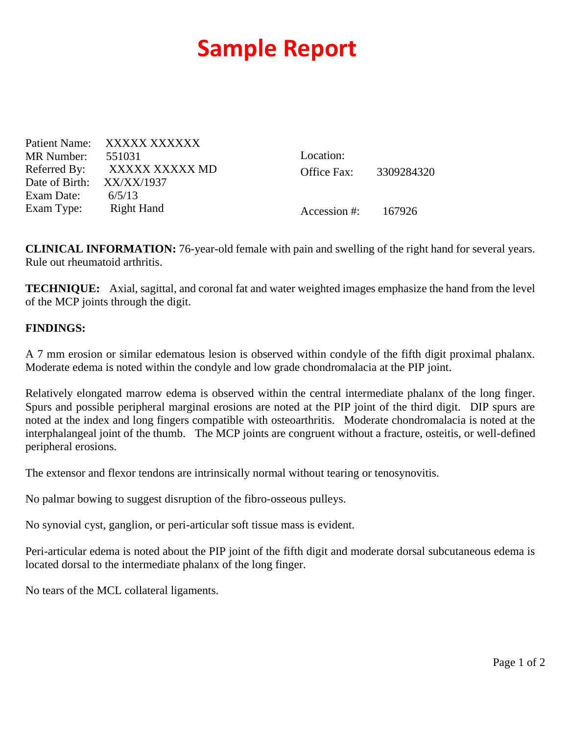## **Sample Report**

Patient Name: XXXXX XXXXXX MR Number: 551031 Referred By: XXXXX XXXXX MD Date of Birth: XX/XX/1937 Exam Date:  $6/5/13$ Exam Type: Right Hand

Location: Office Fax: 3309284320

Accession #: 167926

**CLINICAL INFORMATION:** 76-year-old female with pain and swelling of the right hand for several years. Rule out rheumatoid arthritis.

**TECHNIQUE:** Axial, sagittal, and coronal fat and water weighted images emphasize the hand from the level of the MCP joints through the digit.

## **FINDINGS:**

A 7 mm erosion or similar edematous lesion is observed within condyle of the fifth digit proximal phalanx. Moderate edema is noted within the condyle and low grade chondromalacia at the PIP joint.

Relatively elongated marrow edema is observed within the central intermediate phalanx of the long finger. Spurs and possible peripheral marginal erosions are noted at the PIP joint of the third digit. DIP spurs are noted at the index and long fingers compatible with osteoarthritis. Moderate chondromalacia is noted at the interphalangeal joint of the thumb. The MCP joints are congruent without a fracture, osteitis, or well-defined peripheral erosions.

The extensor and flexor tendons are intrinsically normal without tearing or tenosynovitis.

No palmar bowing to suggest disruption of the fibro-osseous pulleys.

No synovial cyst, ganglion, or peri-articular soft tissue mass is evident.

Peri-articular edema is noted about the PIP joint of the fifth digit and moderate dorsal subcutaneous edema is located dorsal to the intermediate phalanx of the long finger.

No tears of the MCL collateral ligaments.